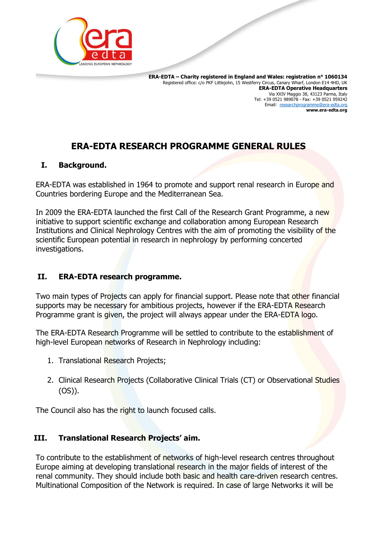

 **ERA-EDTA – Charity registered in England and Wales: registration n° 1060134** Registered office: c/o PKF Littlejohn, 15 Westferry Circus, Canary Wharf, London E14 4HD, UK **ERA-EDTA Operative Headquarters** Via XXIV Maggio 38, 43123 Parma, Italy Tel: +39 0521 989078 - Fax: +39 0521 959242 Email: [researchprogramme@era-edta.org](mailto:researchprogramme@era-edta.org) **www.era-edta.org**

# **ERA-EDTA RESEARCH PROGRAMME GENERAL RULES**

#### **I. Background.**

ERA-EDTA was established in 1964 to promote and support renal research in Europe and Countries bordering Europe and the Mediterranean Sea.

In 2009 the ERA-EDTA launched the first Call of the Research Grant Programme, a new initiative to support scientific exchange and collaboration among European Research Institutions and Clinical Nephrology Centres with the aim of promoting the visibility of the scientific European potential in research in nephrology by performing concerted investigations.

#### **II. ERA-EDTA research programme.**

Two main types of Projects can apply for financial support. Please note that other financial supports may be necessary for ambitious projects, however if the ERA-EDTA Research Programme grant is given, the project will always appear under the ERA-EDTA logo.

The ERA-EDTA Research Programme will be settled to contribute to the establishment of high-level European networks of Research in Nephrology including:

- 1. Translational Research Projects;
- 2. Clinical Research Projects (Collaborative Clinical Trials (CT) or Observational Studies (OS)).

The Council also has the right to launch focused calls.

# **III. Translational Research Projects' aim.**

To contribute to the establishment of networks of high-level research centres throughout Europe aiming at developing translational research in the major fields of interest of the renal community. They should include both basic and health care-driven research centres. Multinational Composition of the Network is required. In case of large Networks it will be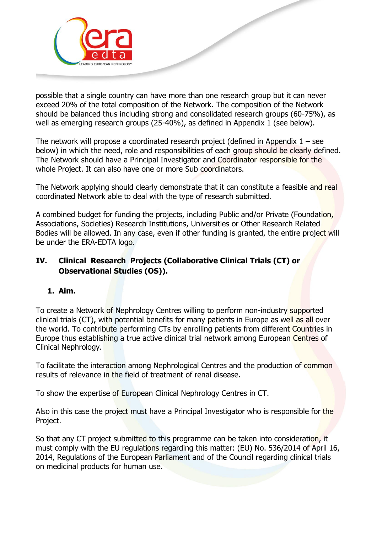

possible that a single country can have more than one research group but it can never exceed 20% of the total composition of the Network. The composition of the Network should be balanced thus including strong and consolidated research groups (60-75%), as well as emerging research groups (25-40%), as defined in Appendix 1 (see below).

The network will propose a coordinated research project (defined in Appendix  $1 -$  see below) in which the need, role and responsibilities of each group should be clearly defined. The Network should have a Principal Investigator and Coordinator responsible for the whole Project. It can also have one or more Sub coordinators.

The Network applying should clearly demonstrate that it can constitute a feasible and real coordinated Network able to deal with the type of research submitted.

A combined budget for funding the projects, including Public and/or Private (Foundation, Associations, Societies) Research Institutions, Universities or Other Research Related Bodies will be allowed. In any case, even if other funding is granted, the entire project will be under the ERA-EDTA logo.

## **IV. Clinical Research Projects (Collaborative Clinical Trials (CT) or Observational Studies (OS)).**

#### **1. Aim.**

To create a Network of Nephrology Centres willing to perform non-industry supported clinical trials (CT), with potential benefits for many patients in Europe as well as all over the world. To contribute performing CTs by enrolling patients from different Countries in Europe thus establishing a true active clinical trial network among European Centres of Clinical Nephrology.

To facilitate the interaction among Nephrological Centres and the production of common results of relevance in the field of treatment of renal disease.

To show the expertise of European Clinical Nephrology Centres in CT.

Also in this case the project must have a Principal Investigator who is responsible for the Project.

So that any CT project submitted to this programme can be taken into consideration, it must comply with the EU regulations regarding this matter: (EU) No. 536/2014 of April 16, 2014, Regulations of the European Parliament and of the Council regarding clinical trials on medicinal products for human use.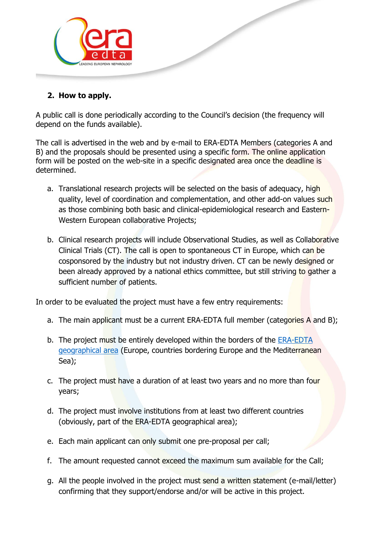

# **2. How to apply.**

A public call is done periodically according to the Council's decision (the frequency will depend on the funds available).

The call is advertised in the web and by e-mail to ERA-EDTA Members (categories A and B) and the proposals should be presented using a specific form. The online application form will be posted on the web-site in a specific designated area once the deadline is determined.

- a. Translational research projects will be selected on the basis of adequacy, high quality, level of coordination and complementation, and other add-on values such as those combining both basic and clinical-epidemiological research and Eastern-Western European collaborative Projects;
- b. Clinical research projects will include Observational Studies, as well as Collaborative Clinical Trials (CT). The call is open to spontaneous CT in Europe, which can be cosponsored by the industry but not industry driven. CT can be newly designed or been already approved by a national ethics committee, but still striving to gather a sufficient number of patients.

In order to be evaluated the project must have a few entry requirements:

- a. The main applicant must be a current ERA-EDTA full member (categories A and B);
- b. The project must be entirely developed within the borders of the **ERA-EDTA** [geographical area](http://www.era-edta.org/ERA-EDTA_geographical_area.html) (Europe, countries bordering Europe and the Mediterranean Sea);
- c. The project must have a duration of at least two years and no more than four years;
- d. The project must involve institutions from at least two different countries (obviously, part of the ERA-EDTA geographical area);
- e. Each main applicant can only submit one pre-proposal per call;
- f. The amount requested cannot exceed the maximum sum available for the Call;
- g. All the people involved in the project must send a written statement (e-mail/letter) confirming that they support/endorse and/or will be active in this project.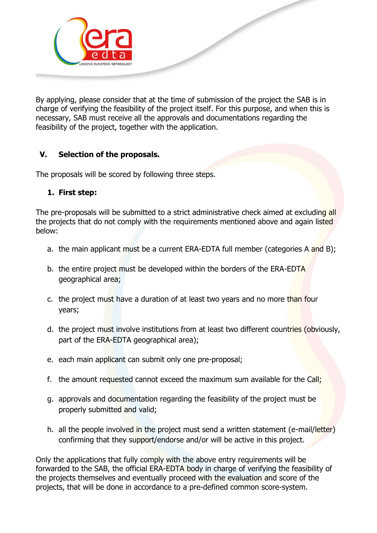

By applying, please consider that at the time of submission of the project the SAB is in charge of verifying the feasibility of the project itself. For this purpose, and when this is necessary, SAB must receive all the approvals and documentations regarding the feasibility of the project, together with the application.

# **V. Selection of the proposals.**

The proposals will be scored by following three steps.

#### **1. First step:**

The pre-proposals will be submitted to a strict administrative check aimed at excluding all the projects that do not comply with the requirements mentioned above and again listed below:

- a. the main applicant must be a current ERA-EDTA full member (categories A and B);
- b. the entire project must be developed within the borders of the ERA-EDTA geographical area;
- c. the project must have a duration of at least two years and no more than four years;
- d. the project must involve institutions from at least two different countries (obviously, part of the ERA-EDTA geographical area);
- e. each main applicant can submit only one pre-proposal;
- f. the amount requested cannot exceed the maximum sum available for the Call;
- g. approvals and documentation regarding the feasibility of the project must be properly submitted and valid;
- h. all the people involved in the project must send a written statement (e-mail/letter) confirming that they support/endorse and/or will be active in this project.

Only the applications that fully comply with the above entry requirements will be forwarded to the SAB, the official ERA-EDTA body in charge of verifying the feasibility of the projects themselves and eventually proceed with the evaluation and score of the projects, that will be done in accordance to a pre-defined common score-system.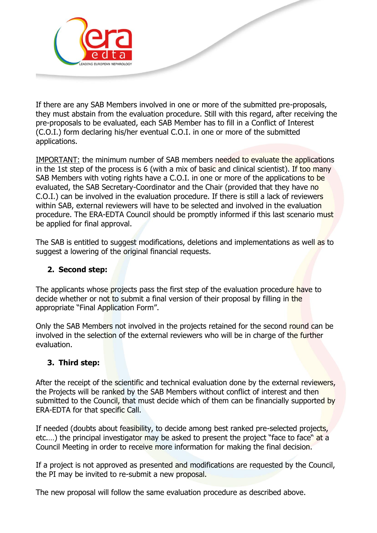

If there are any SAB Members involved in one or more of the submitted pre-proposals, they must abstain from the evaluation procedure. Still with this regard, after receiving the pre-proposals to be evaluated, each SAB Member has to fill in a Conflict of Interest (C.O.I.) form declaring his/her eventual C.O.I. in one or more of the submitted applications.

IMPORTANT: the minimum number of SAB members needed to evaluate the applications in the 1st step of the process is 6 (with a mix of basic and clinical scientist). If too many SAB Members with voting rights have a C.O.I. in one or more of the applications to be evaluated, the SAB Secretary-Coordinator and the Chair (provided that they have no C.O.I.) can be involved in the evaluation procedure. If there is still a lack of reviewers within SAB, external reviewers will have to be selected and involved in the evaluation procedure. The ERA-EDTA Council should be promptly informed if this last scenario must be applied for final approval.

The SAB is entitled to suggest modifications, deletions and implementations as well as to suggest a lowering of the original financial requests.

#### **2. Second step:**

The applicants whose projects pass the first step of the evaluation procedure have to decide whether or not to submit a final version of their proposal by filling in the appropriate "Final Application Form".

Only the SAB Members not involved in the projects retained for the second round can be involved in the selection of the external reviewers who will be in charge of the further evaluation.

#### **3. Third step:**

After the receipt of the scientific and technical evaluation done by the external reviewers, the Projects will be ranked by the SAB Members without conflict of interest and then submitted to the Council, that must decide which of them can be financially supported by ERA-EDTA for that specific Call.

If needed (doubts about feasibility, to decide among best ranked pre-selected projects, etc....) the principal investigator may be asked to present the project "face to face" at a Council Meeting in order to receive more information for making the final decision.

If a project is not approved as presented and modifications are requested by the Council, the PI may be invited to re-submit a new proposal.

The new proposal will follow the same evaluation procedure as described above.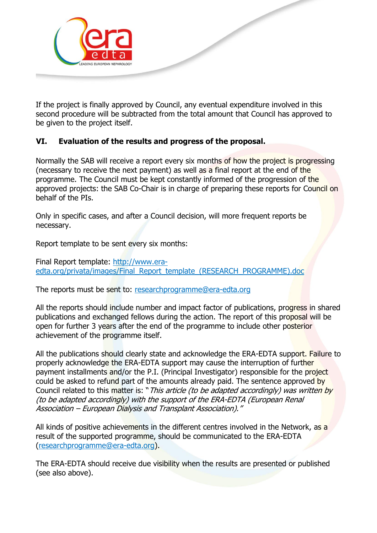

If the project is finally approved by Council, any eventual expenditure involved in this second procedure will be subtracted from the total amount that Council has approved to be given to the project itself.

## **VI. Evaluation of the results and progress of the proposal.**

Normally the SAB will receive a report every six months of how the project is progressing (necessary to receive the next payment) as well as a final report at the end of the programme. The Council must be kept constantly informed of the progression of the approved projects: the SAB Co-Chair is in charge of preparing these reports for Council on behalf of the PIs.

Only in specific cases, and after a Council decision, will more frequent reports be necessary.

Report template to be sent every six months:

Final Report template: [http://www.era](http://www.era-edta.org/privata/images/Final_Report_template_(RESEARCH_PROGRAMME).doc)[edta.org/privata/images/Final\\_Report\\_template\\_\(RESEARCH\\_PROGRAMME\).doc](http://www.era-edta.org/privata/images/Final_Report_template_(RESEARCH_PROGRAMME).doc)

The reports must be sent to: [researchprogramme@era-edta.org](mailto:researchprogramme@era-edta.org)

All the reports should include number and impact factor of publications, progress in shared publications and exchanged fellows during the action. The report of this proposal will be open for further 3 years after the end of the programme to include other posterior achievement of the programme itself.

All the publications should clearly state and acknowledge the ERA-EDTA support. Failure to properly acknowledge the ERA-EDTA support may cause the interruption of further payment installments and/or the P.I. (Principal Investigator) responsible for the project could be asked to refund part of the amounts already paid. The sentence approved by Council related to this matter is: "This article (to be adapted accordingly) was written by (to be adapted accordingly) with the support of the ERA-EDTA (European Renal Association – European Dialysis and Transplant Association)."

All kinds of positive achievements in the different centres involved in the Network, as a result of the supported programme, should be communicated to the ERA-EDTA [\(researchprogramme@era-edta.org\)](mailto:researchprogramme@era-edta.org).

The ERA-EDTA should receive due visibility when the results are presented or published (see also above).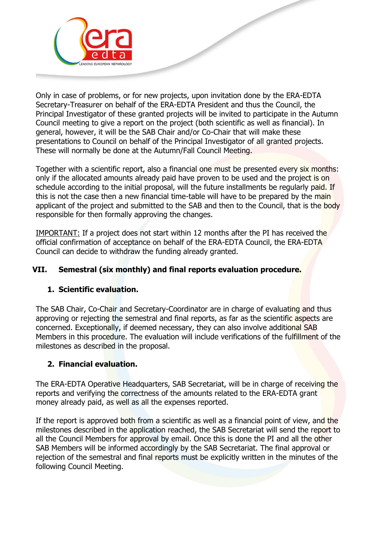

Only in case of problems, or for new projects, upon invitation done by the ERA-EDTA Secretary-Treasurer on behalf of the ERA-EDTA President and thus the Council, the Principal Investigator of these granted projects will be invited to participate in the Autumn Council meeting to give a report on the project (both scientific as well as financial). In general, however, it will be the SAB Chair and/or Co-Chair that will make these presentations to Council on behalf of the Principal Investigator of all granted projects. These will normally be done at the Autumn/Fall Council Meeting.

Together with a scientific report, also a financial one must be presented every six months: only if the allocated amounts already paid have proven to be used and the project is on schedule according to the initial proposal, will the future installments be regularly paid. If this is not the case then a new financial time-table will have to be prepared by the main applicant of the project and submitted to the SAB and then to the Council, that is the body responsible for then formally approving the changes.

IMPORTANT: If a project does not start within 12 months after the PI has received the official confirmation of acceptance on behalf of the ERA-EDTA Council, the ERA-EDTA Council can decide to withdraw the funding already granted.

## **VII. Semestral (six monthly) and final reports evaluation procedure.**

#### **1. Scientific evaluation.**

The SAB Chair, Co-Chair and Secretary-Coordinator are in charge of evaluating and thus approving or rejecting the semestral and final reports, as far as the scientific aspects are concerned. Exceptionally, if deemed necessary, they can also involve additional SAB Members in this procedure. The evaluation will include verifications of the fulfillment of the milestones as described in the proposal.

#### **2. Financial evaluation.**

The ERA-EDTA Operative Headquarters, SAB Secretariat, will be in charge of receiving the reports and verifying the correctness of the amounts related to the ERA-EDTA grant money already paid, as well as all the expenses reported.

If the report is approved both from a scientific as well as a financial point of view, and the milestones described in the application reached, the SAB Secretariat will send the report to all the Council Members for approval by email. Once this is done the PI and all the other SAB Members will be informed accordingly by the SAB Secretariat. The final approval or rejection of the semestral and final reports must be explicitly written in the minutes of the following Council Meeting.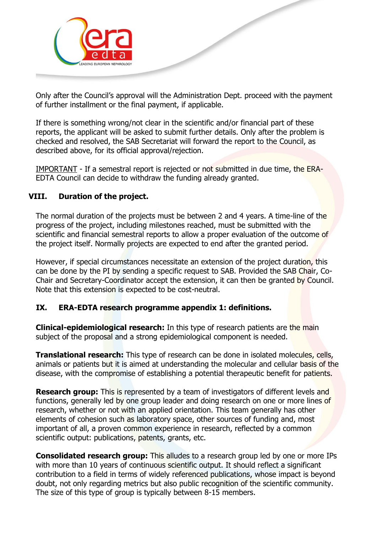

Only after the Council's approval will the Administration Dept. proceed with the payment of further installment or the final payment, if applicable.

If there is something wrong/not clear in the scientific and/or financial part of these reports, the applicant will be asked to submit further details. Only after the problem is checked and resolved, the SAB Secretariat will forward the report to the Council, as described above, for its official approval/rejection.

IMPORTANT - If a semestral report is rejected or not submitted in due time, the ERA-EDTA Council can decide to withdraw the funding already granted.

#### **VIII. Duration of the project.**

The normal duration of the projects must be between 2 and 4 years. A time-line of the progress of the project, including milestones reached, must be submitted with the scientific and financial semestral reports to allow a proper evaluation of the outcome of the project itself. Normally projects are expected to end after the granted period.

However, if special circumstances necessitate an extension of the project duration, this can be done by the PI by sending a specific request to SAB. Provided the SAB Chair, Co-Chair and Secretary-Coordinator accept the extension, it can then be granted by Council. Note that this extension is expected to be cost-neutral.

#### **IX. ERA-EDTA research programme appendix 1: definitions.**

**Clinical-epidemiological research:** In this type of research patients are the main subject of the proposal and a strong epidemiological component is needed.

**Translational research:** This type of research can be done in isolated molecules, cells, animals or patients but it is aimed at understanding the molecular and cellular basis of the disease, with the compromise of establishing a potential therapeutic benefit for patients.

**Research group:** This is represented by a team of investigators of different levels and functions, generally led by one group leader and doing research on one or more lines of research, whether or not with an applied orientation. This team generally has other elements of cohesion such as laboratory space, other sources of funding and, most important of all, a proven common experience in research, reflected by a common scientific output: publications, patents, grants, etc.

**Consolidated research group:** This alludes to a research group led by one or more IPs with more than 10 years of continuous scientific output. It should reflect a significant contribution to a field in terms of widely referenced publications, whose impact is beyond doubt, not only regarding metrics but also public recognition of the scientific community. The size of this type of group is typically between 8-15 members.